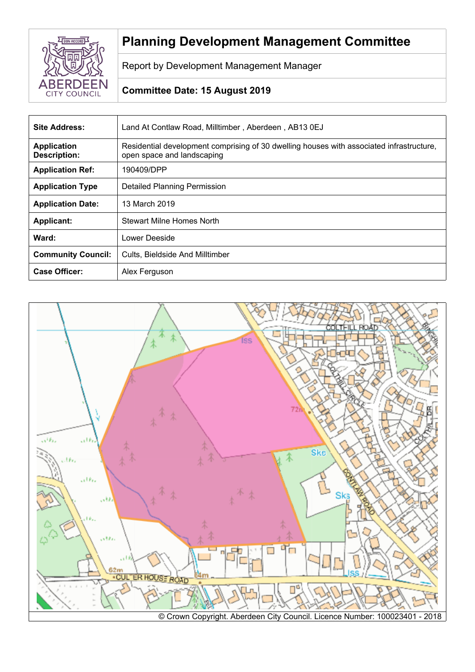

# **Planning Development Management Committee**

Report by Development Management Manager

## **Committee Date: 15 August 2019**

| Site Address:                             | Land At Contlaw Road, Milltimber, Aberdeen, AB13 0EJ                                                                   |
|-------------------------------------------|------------------------------------------------------------------------------------------------------------------------|
| <b>Application</b><br><b>Description:</b> | Residential development comprising of 30 dwelling houses with associated infrastructure,<br>open space and landscaping |
| <b>Application Ref:</b>                   | 190409/DPP                                                                                                             |
| <b>Application Type</b>                   | <b>Detailed Planning Permission</b>                                                                                    |
| <b>Application Date:</b>                  | 13 March 2019                                                                                                          |
| <b>Applicant:</b>                         | Stewart Milne Homes North                                                                                              |
| Ward:                                     | Lower Deeside                                                                                                          |
| <b>Community Council:</b>                 | Cults, Bieldside And Milltimber                                                                                        |
| <b>Case Officer:</b>                      | Alex Ferguson                                                                                                          |

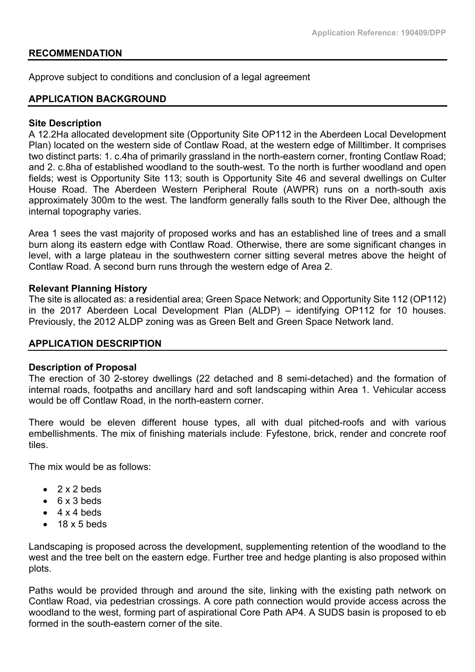#### **RECOMMENDATION**

Approve subject to conditions and conclusion of a legal agreement

#### **APPLICATION BACKGROUND**

#### **Site Description**

A 12.2Ha allocated development site (Opportunity Site OP112 in the Aberdeen Local Development Plan) located on the western side of Contlaw Road, at the western edge of Milltimber. It comprises two distinct parts: 1. c.4ha of primarily grassland in the north-eastern corner, fronting Contlaw Road; and 2. c.8ha of established woodland to the south-west. To the north is further woodland and open fields; west is Opportunity Site 113; south is Opportunity Site 46 and several dwellings on Culter House Road. The Aberdeen Western Peripheral Route (AWPR) runs on a north-south axis approximately 300m to the west. The landform generally falls south to the River Dee, although the internal topography varies.

Area 1 sees the vast majority of proposed works and has an established line of trees and a small burn along its eastern edge with Contlaw Road. Otherwise, there are some significant changes in level, with a large plateau in the southwestern corner sitting several metres above the height of Contlaw Road. A second burn runs through the western edge of Area 2.

#### **Relevant Planning History**

The site is allocated as: a residential area; Green Space Network; and Opportunity Site 112 (OP112) in the 2017 Aberdeen Local Development Plan (ALDP) – identifying OP112 for 10 houses. Previously, the 2012 ALDP zoning was as Green Belt and Green Space Network land.

## **APPLICATION DESCRIPTION**

#### **Description of Proposal**

The erection of 30 2-storey dwellings (22 detached and 8 semi-detached) and the formation of internal roads, footpaths and ancillary hard and soft landscaping within Area 1. Vehicular access would be off Contlaw Road, in the north-eastern corner.

There would be eleven different house types, all with dual pitched-roofs and with various embellishments. The mix of finishing materials include: Fyfestone, brick, render and concrete roof tiles.

The mix would be as follows:

- $\bullet$  2 x 2 beds
- $\bullet$  6 x 3 beds
- $4 \times 4$  heds
- $\bullet$  18 x 5 beds

Landscaping is proposed across the development, supplementing retention of the woodland to the west and the tree belt on the eastern edge. Further tree and hedge planting is also proposed within plots.

Paths would be provided through and around the site, linking with the existing path network on Contlaw Road, via pedestrian crossings. A core path connection would provide access across the woodland to the west, forming part of aspirational Core Path AP4. A SUDS basin is proposed to eb formed in the south-eastern corner of the site.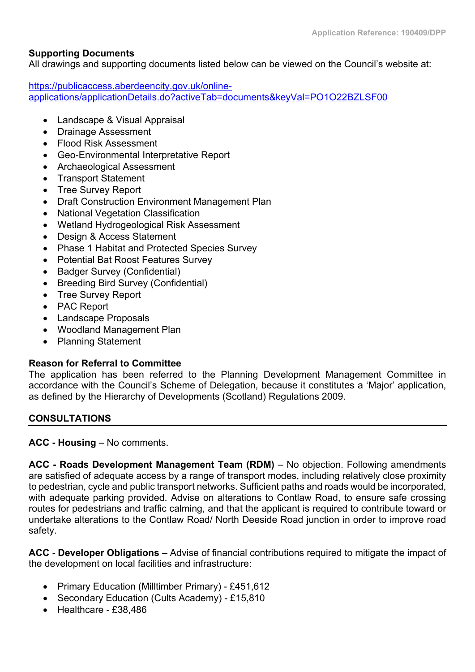## **Supporting Documents**

All drawings and supporting documents listed below can be viewed on the Council's website at:

[https://publicaccess.aberdeencity.gov.uk/online](https://publicaccess.aberdeencity.gov.uk/online-applications/applicationDetails.do?activeTab=documents&keyVal=PO1O22BZLSF00)[applications/applicationDetails.do?activeTab=documents&keyVal=PO1O22BZLSF00](https://publicaccess.aberdeencity.gov.uk/online-applications/applicationDetails.do?activeTab=documents&keyVal=PO1O22BZLSF00)

- Landscape & Visual Appraisal
- Drainage Assessment
- Flood Risk Assessment
- Geo-Environmental Interpretative Report
- Archaeological Assessment
- Transport Statement
- Tree Survey Report
- Draft Construction Environment Management Plan
- National Vegetation Classification
- Wetland Hydrogeological Risk Assessment
- Design & Access Statement
- Phase 1 Habitat and Protected Species Survey
- Potential Bat Roost Features Survey
- Badger Survey (Confidential)
- Breeding Bird Survey (Confidential)
- Tree Survey Report
- PAC Report
- Landscape Proposals
- Woodland Management Plan
- Planning Statement

## **Reason for Referral to Committee**

The application has been referred to the Planning Development Management Committee in accordance with the Council's Scheme of Delegation, because it constitutes a 'Major' application, as defined by the Hierarchy of Developments (Scotland) Regulations 2009.

## **CONSULTATIONS**

**ACC - Housing** – No comments.

**ACC - Roads Development Management Team (RDM)** – No objection. Following amendments are satisfied of adequate access by a range of transport modes, including relatively close proximity to pedestrian, cycle and public transport networks. Sufficient paths and roads would be incorporated, with adequate parking provided. Advise on alterations to Contlaw Road, to ensure safe crossing routes for pedestrians and traffic calming, and that the applicant is required to contribute toward or undertake alterations to the Contlaw Road/ North Deeside Road junction in order to improve road safety.

**ACC - Developer Obligations** – Advise of financial contributions required to mitigate the impact of the development on local facilities and infrastructure:

- Primary Education (Milltimber Primary) £451,612
- Secondary Education (Cults Academy) £15,810
- $\bullet$  Healthcare £38,486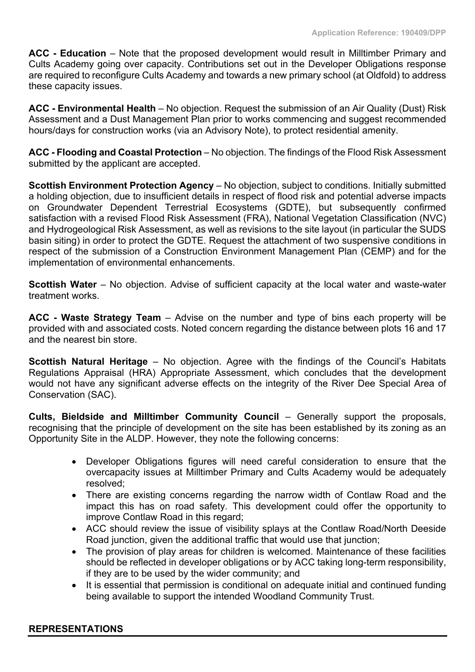**ACC - Education** – Note that the proposed development would result in Milltimber Primary and Cults Academy going over capacity. Contributions set out in the Developer Obligations response are required to reconfigure Cults Academy and towards a new primary school (at Oldfold) to address these capacity issues.

**ACC - Environmental Health** – No objection. Request the submission of an Air Quality (Dust) Risk Assessment and a Dust Management Plan prior to works commencing and suggest recommended hours/days for construction works (via an Advisory Note), to protect residential amenity.

**ACC - Flooding and Coastal Protection** – No objection. The findings of the Flood Risk Assessment submitted by the applicant are accepted.

**Scottish Environment Protection Agency** – No objection, subject to conditions. Initially submitted a holding objection, due to insufficient details in respect of flood risk and potential adverse impacts on Groundwater Dependent Terrestrial Ecosystems (GDTE), but subsequently confirmed satisfaction with a revised Flood Risk Assessment (FRA), National Vegetation Classification (NVC) and Hydrogeological Risk Assessment, as well as revisions to the site layout (in particular the SUDS basin siting) in order to protect the GDTE. Request the attachment of two suspensive conditions in respect of the submission of a Construction Environment Management Plan (CEMP) and for the implementation of environmental enhancements.

**Scottish Water** – No objection. Advise of sufficient capacity at the local water and waste-water treatment works.

**ACC - Waste Strategy Team** – Advise on the number and type of bins each property will be provided with and associated costs. Noted concern regarding the distance between plots 16 and 17 and the nearest bin store.

**Scottish Natural Heritage** – No objection. Agree with the findings of the Council's Habitats Regulations Appraisal (HRA) Appropriate Assessment, which concludes that the development would not have any significant adverse effects on the integrity of the River Dee Special Area of Conservation (SAC).

**Cults, Bieldside and Milltimber Community Council** – Generally support the proposals, recognising that the principle of development on the site has been established by its zoning as an Opportunity Site in the ALDP. However, they note the following concerns:

- Developer Obligations figures will need careful consideration to ensure that the overcapacity issues at Milltimber Primary and Cults Academy would be adequately resolved;
- There are existing concerns regarding the narrow width of Contlaw Road and the impact this has on road safety. This development could offer the opportunity to improve Contlaw Road in this regard;
- ACC should review the issue of visibility splays at the Contlaw Road/North Deeside Road junction, given the additional traffic that would use that junction;
- The provision of play areas for children is welcomed. Maintenance of these facilities should be reflected in developer obligations or by ACC taking long-term responsibility, if they are to be used by the wider community; and
- It is essential that permission is conditional on adequate initial and continued funding being available to support the intended Woodland Community Trust.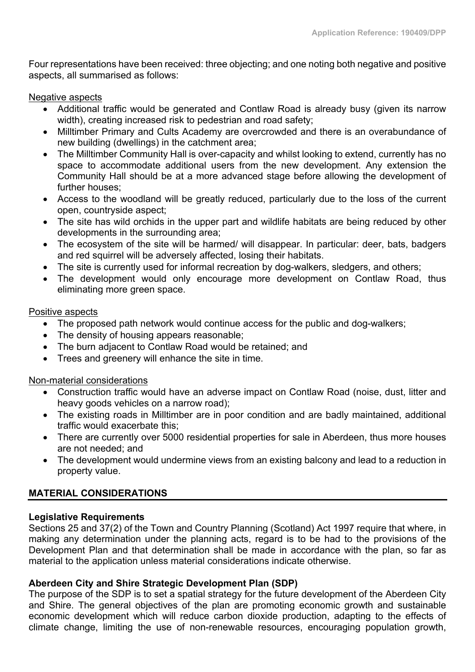Four representations have been received: three objecting; and one noting both negative and positive aspects, all summarised as follows:

Negative aspects

- Additional traffic would be generated and Contlaw Road is already busy (given its narrow width), creating increased risk to pedestrian and road safety;
- Milltimber Primary and Cults Academy are overcrowded and there is an overabundance of new building (dwellings) in the catchment area;
- The Milltimber Community Hall is over-capacity and whilst looking to extend, currently has no space to accommodate additional users from the new development. Any extension the Community Hall should be at a more advanced stage before allowing the development of further houses;
- Access to the woodland will be greatly reduced, particularly due to the loss of the current open, countryside aspect;
- The site has wild orchids in the upper part and wildlife habitats are being reduced by other developments in the surrounding area;
- The ecosystem of the site will be harmed/ will disappear. In particular: deer, bats, badgers and red squirrel will be adversely affected, losing their habitats.
- The site is currently used for informal recreation by dog-walkers, sledgers, and others;
- The development would only encourage more development on Contlaw Road, thus eliminating more green space.

## Positive aspects

- The proposed path network would continue access for the public and dog-walkers;
- The density of housing appears reasonable;
- The burn adjacent to Contlaw Road would be retained; and
- Trees and greenery will enhance the site in time.

## Non-material considerations

- Construction traffic would have an adverse impact on Contlaw Road (noise, dust, litter and heavy goods vehicles on a narrow road);
- The existing roads in Milltimber are in poor condition and are badly maintained, additional traffic would exacerbate this;
- There are currently over 5000 residential properties for sale in Aberdeen, thus more houses are not needed; and
- The development would undermine views from an existing balcony and lead to a reduction in property value.

## **MATERIAL CONSIDERATIONS**

## **Legislative Requirements**

Sections 25 and 37(2) of the Town and Country Planning (Scotland) Act 1997 require that where, in making any determination under the planning acts, regard is to be had to the provisions of the Development Plan and that determination shall be made in accordance with the plan, so far as material to the application unless material considerations indicate otherwise.

## **Aberdeen City and Shire Strategic Development Plan (SDP)**

The purpose of the SDP is to set a spatial strategy for the future development of the Aberdeen City and Shire. The general objectives of the plan are promoting economic growth and sustainable economic development which will reduce carbon dioxide production, adapting to the effects of climate change, limiting the use of non-renewable resources, encouraging population growth,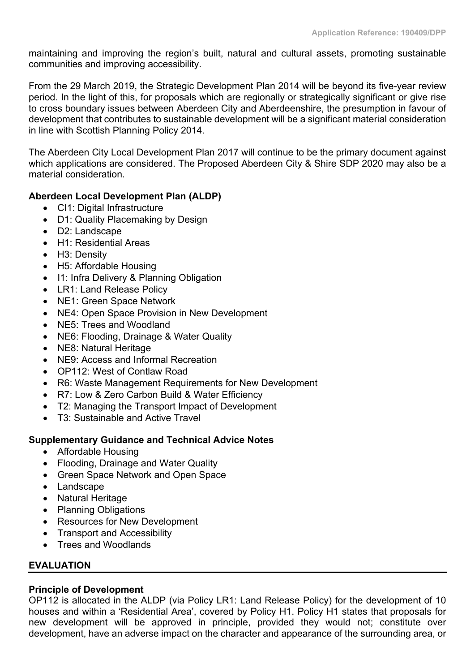maintaining and improving the region's built, natural and cultural assets, promoting sustainable communities and improving accessibility.

From the 29 March 2019, the Strategic Development Plan 2014 will be beyond its five-year review period. In the light of this, for proposals which are regionally or strategically significant or give rise to cross boundary issues between Aberdeen City and Aberdeenshire, the presumption in favour of development that contributes to sustainable development will be a significant material consideration in line with Scottish Planning Policy 2014.

The Aberdeen City Local Development Plan 2017 will continue to be the primary document against which applications are considered. The Proposed Aberdeen City & Shire SDP 2020 may also be a material consideration.

## **Aberdeen Local Development Plan (ALDP)**

- CI1: Digital Infrastructure
- D1: Quality Placemaking by Design
- D2: Landscape
- H1: Residential Areas
- H3: Density
- H5: Affordable Housing
- I1: Infra Delivery & Planning Obligation
- LR1: Land Release Policy
- NE1: Green Space Network
- NE4: Open Space Provision in New Development
- NE5: Trees and Woodland
- NE6: Flooding, Drainage & Water Quality
- NE8: Natural Heritage
- NE9: Access and Informal Recreation
- OP112: West of Contlaw Road
- R6: Waste Management Requirements for New Development
- R7: Low & Zero Carbon Build & Water Efficiency
- T2: Managing the Transport Impact of Development
- T3: Sustainable and Active Travel

## **Supplementary Guidance and Technical Advice Notes**

- Affordable Housing
- Flooding, Drainage and Water Quality
- Green Space Network and Open Space
- Landscape
- Natural Heritage
- Planning Obligations
- Resources for New Development
- Transport and Accessibility
- Trees and Woodlands

## **EVALUATION**

## **Principle of Development**

OP112 is allocated in the ALDP (via Policy LR1: Land Release Policy) for the development of 10 houses and within a 'Residential Area', covered by Policy H1. Policy H1 states that proposals for new development will be approved in principle, provided they would not; constitute over development, have an adverse impact on the character and appearance of the surrounding area, or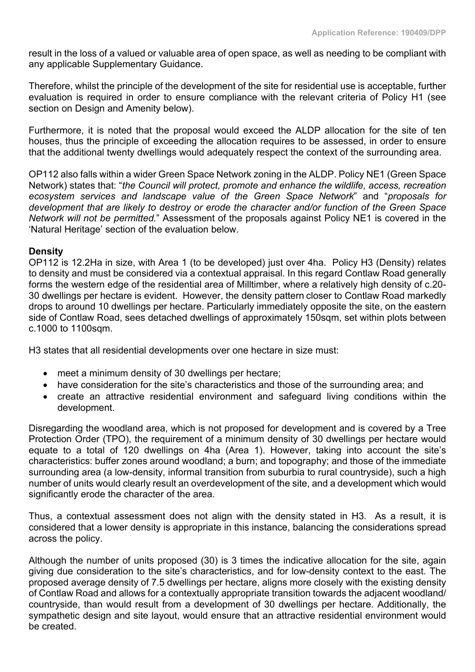result in the loss of a valued or valuable area of open space, as well as needing to be compliant with any applicable Supplementary Guidance.

Therefore, whilst the principle of the development of the site for residential use is acceptable, further evaluation is required in order to ensure compliance with the relevant criteria of Policy H1 (see section on Design and Amenity below).

Furthermore, it is noted that the proposal would exceed the ALDP allocation for the site of ten houses, thus the principle of exceeding the allocation requires to be assessed, in order to ensure that the additional twenty dwellings would adequately respect the context of the surrounding area.

OP112 also falls within a wider Green Space Network zoning in the ALDP. Policy NE1 (Green Space Network) states that: "*the Council will protect, promote and enhance the wildlife, access, recreation ecosystem services and landscape value of the Green Space Network*" and "*proposals for development that are likely to destroy or erode the character and/or function of the Green Space Network will not be permitted.*" Assessment of the proposals against Policy NE1 is covered in the 'Natural Heritage' section of the evaluation below.

## **Density**

OP112 is 12.2Ha in size, with Area 1 (to be developed) just over 4ha. Policy H3 (Density) relates to density and must be considered via a contextual appraisal. In this regard Contlaw Road generally forms the western edge of the residential area of Milltimber, where a relatively high density of c.20- 30 dwellings per hectare is evident. However, the density pattern closer to Contlaw Road markedly drops to around 10 dwellings per hectare. Particularly immediately opposite the site, on the eastern side of Contlaw Road, sees detached dwellings of approximately 150sqm, set within plots between c.1000 to 1100sqm.

H3 states that all residential developments over one hectare in size must:

- meet a minimum density of 30 dwellings per hectare;
- have consideration for the site's characteristics and those of the surrounding area; and
- create an attractive residential environment and safeguard living conditions within the development.

Disregarding the woodland area, which is not proposed for development and is covered by a Tree Protection Order (TPO), the requirement of a minimum density of 30 dwellings per hectare would equate to a total of 120 dwellings on 4ha (Area 1). However, taking into account the site's characteristics: buffer zones around woodland; a burn; and topography; and those of the immediate surrounding area (a low-density, informal transition from suburbia to rural countryside), such a high number of units would clearly result an overdevelopment of the site, and a development which would significantly erode the character of the area.

Thus, a contextual assessment does not align with the density stated in H3. As a result, it is considered that a lower density is appropriate in this instance, balancing the considerations spread across the policy.

Although the number of units proposed (30) is 3 times the indicative allocation for the site, again giving due consideration to the site's characteristics, and for low-density context to the east. The proposed average density of 7.5 dwellings per hectare, aligns more closely with the existing density of Contlaw Road and allows for a contextually appropriate transition towards the adjacent woodland/ countryside, than would result from a development of 30 dwellings per hectare. Additionally, the sympathetic design and site layout, would ensure that an attractive residential environment would be created.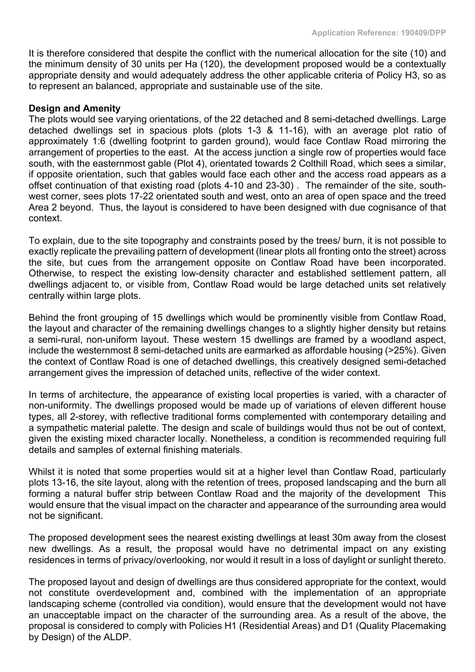It is therefore considered that despite the conflict with the numerical allocation for the site (10) and the minimum density of 30 units per Ha (120), the development proposed would be a contextually appropriate density and would adequately address the other applicable criteria of Policy H3, so as to represent an balanced, appropriate and sustainable use of the site.

#### **Design and Amenity**

The plots would see varying orientations, of the 22 detached and 8 semi-detached dwellings. Large detached dwellings set in spacious plots (plots 1-3 & 11-16), with an average plot ratio of approximately 1:6 (dwelling footprint to garden ground), would face Contlaw Road mirroring the arrangement of properties to the east. At the access junction a single row of properties would face south, with the easternmost gable (Plot 4), orientated towards 2 Colthill Road, which sees a similar, if opposite orientation, such that gables would face each other and the access road appears as a offset continuation of that existing road (plots 4-10 and 23-30) . The remainder of the site, southwest corner, sees plots 17-22 orientated south and west, onto an area of open space and the treed Area 2 beyond. Thus, the layout is considered to have been designed with due cognisance of that context.

To explain, due to the site topography and constraints posed by the trees/ burn, it is not possible to exactly replicate the prevailing pattern of development (linear plots all fronting onto the street) across the site, but cues from the arrangement opposite on Contlaw Road have been incorporated. Otherwise, to respect the existing low-density character and established settlement pattern, all dwellings adjacent to, or visible from, Contlaw Road would be large detached units set relatively centrally within large plots.

Behind the front grouping of 15 dwellings which would be prominently visible from Contlaw Road, the layout and character of the remaining dwellings changes to a slightly higher density but retains a semi-rural, non-uniform layout. These western 15 dwellings are framed by a woodland aspect, include the westernmost 8 semi-detached units are earmarked as affordable housing (>25%). Given the context of Contlaw Road is one of detached dwellings, this creatively designed semi-detached arrangement gives the impression of detached units, reflective of the wider context.

In terms of architecture, the appearance of existing local properties is varied, with a character of non-uniformity. The dwellings proposed would be made up of variations of eleven different house types, all 2-storey, with reflective traditional forms complemented with contemporary detailing and a sympathetic material palette. The design and scale of buildings would thus not be out of context, given the existing mixed character locally. Nonetheless, a condition is recommended requiring full details and samples of external finishing materials.

Whilst it is noted that some properties would sit at a higher level than Contlaw Road, particularly plots 13-16, the site layout, along with the retention of trees, proposed landscaping and the burn all forming a natural buffer strip between Contlaw Road and the majority of the development This would ensure that the visual impact on the character and appearance of the surrounding area would not be significant.

The proposed development sees the nearest existing dwellings at least 30m away from the closest new dwellings. As a result, the proposal would have no detrimental impact on any existing residences in terms of privacy/overlooking, nor would it result in a loss of daylight or sunlight thereto.

The proposed layout and design of dwellings are thus considered appropriate for the context, would not constitute overdevelopment and, combined with the implementation of an appropriate landscaping scheme (controlled via condition), would ensure that the development would not have an unacceptable impact on the character of the surrounding area. As a result of the above, the proposal is considered to comply with Policies H1 (Residential Areas) and D1 (Quality Placemaking by Design) of the ALDP.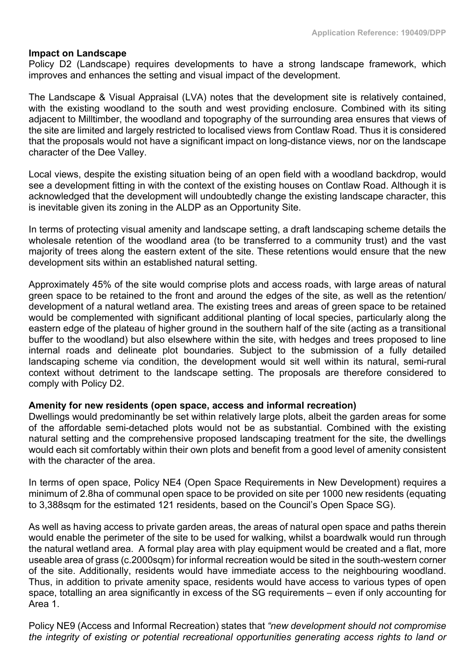#### **Impact on Landscape**

Policy D2 (Landscape) requires developments to have a strong landscape framework, which improves and enhances the setting and visual impact of the development.

The Landscape & Visual Appraisal (LVA) notes that the development site is relatively contained, with the existing woodland to the south and west providing enclosure. Combined with its siting adjacent to Milltimber, the woodland and topography of the surrounding area ensures that views of the site are limited and largely restricted to localised views from Contlaw Road. Thus it is considered that the proposals would not have a significant impact on long-distance views, nor on the landscape character of the Dee Valley.

Local views, despite the existing situation being of an open field with a woodland backdrop, would see a development fitting in with the context of the existing houses on Contlaw Road. Although it is acknowledged that the development will undoubtedly change the existing landscape character, this is inevitable given its zoning in the ALDP as an Opportunity Site.

In terms of protecting visual amenity and landscape setting, a draft landscaping scheme details the wholesale retention of the woodland area (to be transferred to a community trust) and the vast majority of trees along the eastern extent of the site. These retentions would ensure that the new development sits within an established natural setting.

Approximately 45% of the site would comprise plots and access roads, with large areas of natural green space to be retained to the front and around the edges of the site, as well as the retention/ development of a natural wetland area. The existing trees and areas of green space to be retained would be complemented with significant additional planting of local species, particularly along the eastern edge of the plateau of higher ground in the southern half of the site (acting as a transitional buffer to the woodland) but also elsewhere within the site, with hedges and trees proposed to line internal roads and delineate plot boundaries. Subject to the submission of a fully detailed landscaping scheme via condition, the development would sit well within its natural, semi-rural context without detriment to the landscape setting. The proposals are therefore considered to comply with Policy D2.

#### **Amenity for new residents (open space, access and informal recreation)**

Dwellings would predominantly be set within relatively large plots, albeit the garden areas for some of the affordable semi-detached plots would not be as substantial. Combined with the existing natural setting and the comprehensive proposed landscaping treatment for the site, the dwellings would each sit comfortably within their own plots and benefit from a good level of amenity consistent with the character of the area.

In terms of open space, Policy NE4 (Open Space Requirements in New Development) requires a minimum of 2.8ha of communal open space to be provided on site per 1000 new residents (equating to 3,388sqm for the estimated 121 residents, based on the Council's Open Space SG).

As well as having access to private garden areas, the areas of natural open space and paths therein would enable the perimeter of the site to be used for walking, whilst a boardwalk would run through the natural wetland area. A formal play area with play equipment would be created and a flat, more useable area of grass (c.2000sqm) for informal recreation would be sited in the south-western corner of the site. Additionally, residents would have immediate access to the neighbouring woodland. Thus, in addition to private amenity space, residents would have access to various types of open space, totalling an area significantly in excess of the SG requirements – even if only accounting for Area 1.

Policy NE9 (Access and Informal Recreation) states that *"new development should not compromise the integrity of existing or potential recreational opportunities generating access rights to land or*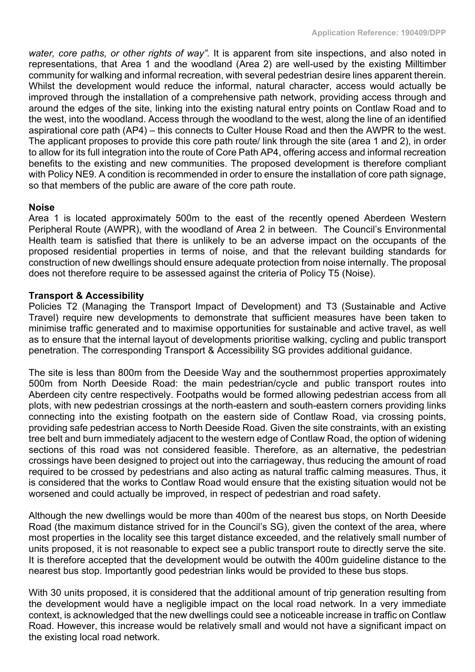*water, core paths, or other rights of way".* It is apparent from site inspections, and also noted in representations, that Area 1 and the woodland (Area 2) are well-used by the existing Milltimber community for walking and informal recreation, with several pedestrian desire lines apparent therein. Whilst the development would reduce the informal, natural character, access would actually be improved through the installation of a comprehensive path network, providing access through and around the edges of the site, linking into the existing natural entry points on Contlaw Road and to the west, into the woodland. Access through the woodland to the west, along the line of an identified aspirational core path (AP4) – this connects to Culter House Road and then the AWPR to the west. The applicant proposes to provide this core path route/ link through the site (area 1 and 2), in order to allow for its full integration into the route of Core Path AP4, offering access and informal recreation benefits to the existing and new communities. The proposed development is therefore compliant with Policy NE9. A condition is recommended in order to ensure the installation of core path signage, so that members of the public are aware of the core path route.

## **Noise**

Area 1 is located approximately 500m to the east of the recently opened Aberdeen Western Peripheral Route (AWPR), with the woodland of Area 2 in between. The Council's Environmental Health team is satisfied that there is unlikely to be an adverse impact on the occupants of the proposed residential properties in terms of noise, and that the relevant building standards for construction of new dwellings should ensure adequate protection from noise internally. The proposal does not therefore require to be assessed against the criteria of Policy T5 (Noise).

#### **Transport & Accessibility**

Policies T2 (Managing the Transport Impact of Development) and T3 (Sustainable and Active Travel) require new developments to demonstrate that sufficient measures have been taken to minimise traffic generated and to maximise opportunities for sustainable and active travel, as well as to ensure that the internal layout of developments prioritise walking, cycling and public transport penetration. The corresponding Transport & Accessibility SG provides additional guidance.

The site is less than 800m from the Deeside Way and the southernmost properties approximately 500m from North Deeside Road: the main pedestrian/cycle and public transport routes into Aberdeen city centre respectively. Footpaths would be formed allowing pedestrian access from all plots, with new pedestrian crossings at the north-eastern and south-eastern corners providing links connecting into the existing footpath on the eastern side of Contlaw Road, via crossing points, providing safe pedestrian access to North Deeside Road. Given the site constraints, with an existing tree belt and burn immediately adjacent to the western edge of Contlaw Road, the option of widening sections of this road was not considered feasible. Therefore, as an alternative, the pedestrian crossings have been designed to project out into the carriageway, thus reducing the amount of road required to be crossed by pedestrians and also acting as natural traffic calming measures. Thus, it is considered that the works to Contlaw Road would ensure that the existing situation would not be worsened and could actually be improved, in respect of pedestrian and road safety.

Although the new dwellings would be more than 400m of the nearest bus stops, on North Deeside Road (the maximum distance strived for in the Council's SG), given the context of the area, where most properties in the locality see this target distance exceeded, and the relatively small number of units proposed, it is not reasonable to expect see a public transport route to directly serve the site. It is therefore accepted that the development would be outwith the 400m guideline distance to the nearest bus stop. Importantly good pedestrian links would be provided to these bus stops.

With 30 units proposed, it is considered that the additional amount of trip generation resulting from the development would have a negligible impact on the local road network. In a very immediate context, is acknowledged that the new dwellings could see a noticeable increase in traffic on Contlaw Road. However, this increase would be relatively small and would not have a significant impact on the existing local road network.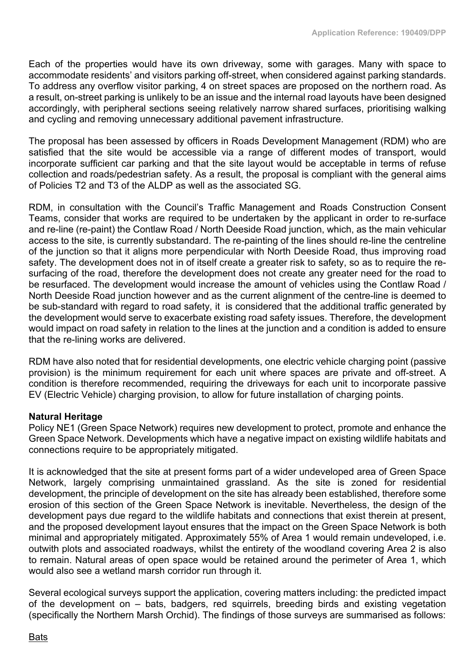Each of the properties would have its own driveway, some with garages. Many with space to accommodate residents' and visitors parking off-street, when considered against parking standards. To address any overflow visitor parking, 4 on street spaces are proposed on the northern road. As a result, on-street parking is unlikely to be an issue and the internal road layouts have been designed accordingly, with peripheral sections seeing relatively narrow shared surfaces, prioritising walking and cycling and removing unnecessary additional pavement infrastructure.

The proposal has been assessed by officers in Roads Development Management (RDM) who are satisfied that the site would be accessible via a range of different modes of transport, would incorporate sufficient car parking and that the site layout would be acceptable in terms of refuse collection and roads/pedestrian safety. As a result, the proposal is compliant with the general aims of Policies T2 and T3 of the ALDP as well as the associated SG.

RDM, in consultation with the Council's Traffic Management and Roads Construction Consent Teams, consider that works are required to be undertaken by the applicant in order to re-surface and re-line (re-paint) the Contlaw Road / North Deeside Road junction, which, as the main vehicular access to the site, is currently substandard. The re-painting of the lines should re-line the centreline of the junction so that it aligns more perpendicular with North Deeside Road, thus improving road safety. The development does not in of itself create a greater risk to safety, so as to require the resurfacing of the road, therefore the development does not create any greater need for the road to be resurfaced. The development would increase the amount of vehicles using the Contlaw Road / North Deeside Road junction however and as the current alignment of the centre-line is deemed to be sub-standard with regard to road safety, it is considered that the additional traffic generated by the development would serve to exacerbate existing road safety issues. Therefore, the development would impact on road safety in relation to the lines at the junction and a condition is added to ensure that the re-lining works are delivered.

RDM have also noted that for residential developments, one electric vehicle charging point (passive provision) is the minimum requirement for each unit where spaces are private and off-street. A condition is therefore recommended, requiring the driveways for each unit to incorporate passive EV (Electric Vehicle) charging provision, to allow for future installation of charging points.

## **Natural Heritage**

Policy NE1 (Green Space Network) requires new development to protect, promote and enhance the Green Space Network. Developments which have a negative impact on existing wildlife habitats and connections require to be appropriately mitigated.

It is acknowledged that the site at present forms part of a wider undeveloped area of Green Space Network, largely comprising unmaintained grassland. As the site is zoned for residential development, the principle of development on the site has already been established, therefore some erosion of this section of the Green Space Network is inevitable. Nevertheless, the design of the development pays due regard to the wildlife habitats and connections that exist therein at present, and the proposed development layout ensures that the impact on the Green Space Network is both minimal and appropriately mitigated. Approximately 55% of Area 1 would remain undeveloped, i.e. outwith plots and associated roadways, whilst the entirety of the woodland covering Area 2 is also to remain. Natural areas of open space would be retained around the perimeter of Area 1, which would also see a wetland marsh corridor run through it.

Several ecological surveys support the application, covering matters including: the predicted impact of the development on – bats, badgers, red squirrels, breeding birds and existing vegetation (specifically the Northern Marsh Orchid). The findings of those surveys are summarised as follows: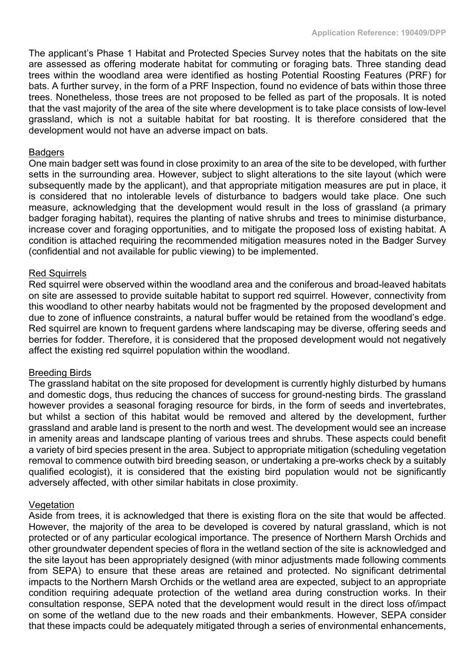The applicant's Phase 1 Habitat and Protected Species Survey notes that the habitats on the site are assessed as offering moderate habitat for commuting or foraging bats. Three standing dead trees within the woodland area were identified as hosting Potential Roosting Features (PRF) for bats. A further survey, in the form of a PRF Inspection, found no evidence of bats within those three trees. Nonetheless, those trees are not proposed to be felled as part of the proposals. It is noted that the vast majority of the area of the site where development is to take place consists of low-level grassland, which is not a suitable habitat for bat roosting. It is therefore considered that the development would not have an adverse impact on bats.

#### Badgers

One main badger sett was found in close proximity to an area of the site to be developed, with further setts in the surrounding area. However, subject to slight alterations to the site layout (which were subsequently made by the applicant), and that appropriate mitigation measures are put in place, it is considered that no intolerable levels of disturbance to badgers would take place. One such measure, acknowledging that the development would result in the loss of grassland (a primary badger foraging habitat), requires the planting of native shrubs and trees to minimise disturbance, increase cover and foraging opportunities, and to mitigate the proposed loss of existing habitat. A condition is attached requiring the recommended mitigation measures noted in the Badger Survey (confidential and not available for public viewing) to be implemented.

#### Red Squirrels

Red squirrel were observed within the woodland area and the coniferous and broad-leaved habitats on site are assessed to provide suitable habitat to support red squirrel. However, connectivity from this woodland to other nearby habitats would not be fragmented by the proposed development and due to zone of influence constraints, a natural buffer would be retained from the woodland's edge. Red squirrel are known to frequent gardens where landscaping may be diverse, offering seeds and berries for fodder. Therefore, it is considered that the proposed development would not negatively affect the existing red squirrel population within the woodland.

#### Breeding Birds

The grassland habitat on the site proposed for development is currently highly disturbed by humans and domestic dogs, thus reducing the chances of success for ground-nesting birds. The grassland however provides a seasonal foraging resource for birds, in the form of seeds and invertebrates, but whilst a section of this habitat would be removed and altered by the development, further grassland and arable land is present to the north and west. The development would see an increase in amenity areas and landscape planting of various trees and shrubs. These aspects could benefit a variety of bird species present in the area. Subject to appropriate mitigation (scheduling vegetation removal to commence outwith bird breeding season, or undertaking a pre-works check by a suitably qualified ecologist), it is considered that the existing bird population would not be significantly adversely affected, with other similar habitats in close proximity.

#### Vegetation

Aside from trees, it is acknowledged that there is existing flora on the site that would be affected. However, the majority of the area to be developed is covered by natural grassland, which is not protected or of any particular ecological importance. The presence of Northern Marsh Orchids and other groundwater dependent species of flora in the wetland section of the site is acknowledged and the site layout has been appropriately designed (with minor adjustments made following comments from SEPA) to ensure that these areas are retained and protected. No significant detrimental impacts to the Northern Marsh Orchids or the wetland area are expected, subject to an appropriate condition requiring adequate protection of the wetland area during construction works. In their consultation response, SEPA noted that the development would result in the direct loss of/impact on some of the wetland due to the new roads and their embankments. However, SEPA consider that these impacts could be adequately mitigated through a series of environmental enhancements,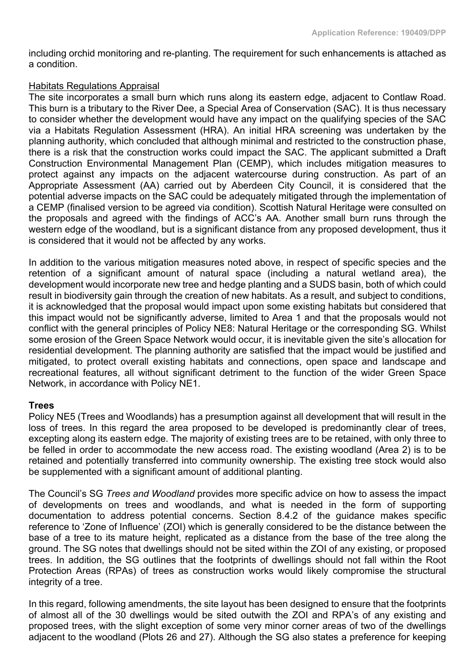including orchid monitoring and re-planting. The requirement for such enhancements is attached as a condition.

## Habitats Regulations Appraisal

The site incorporates a small burn which runs along its eastern edge, adjacent to Contlaw Road. This burn is a tributary to the River Dee, a Special Area of Conservation (SAC). It is thus necessary to consider whether the development would have any impact on the qualifying species of the SAC via a Habitats Regulation Assessment (HRA). An initial HRA screening was undertaken by the planning authority, which concluded that although minimal and restricted to the construction phase, there is a risk that the construction works could impact the SAC. The applicant submitted a Draft Construction Environmental Management Plan (CEMP), which includes mitigation measures to protect against any impacts on the adjacent watercourse during construction. As part of an Appropriate Assessment (AA) carried out by Aberdeen City Council, it is considered that the potential adverse impacts on the SAC could be adequately mitigated through the implementation of a CEMP (finalised version to be agreed via condition). Scottish Natural Heritage were consulted on the proposals and agreed with the findings of ACC's AA. Another small burn runs through the western edge of the woodland, but is a significant distance from any proposed development, thus it is considered that it would not be affected by any works.

In addition to the various mitigation measures noted above, in respect of specific species and the retention of a significant amount of natural space (including a natural wetland area), the development would incorporate new tree and hedge planting and a SUDS basin, both of which could result in biodiversity gain through the creation of new habitats. As a result, and subject to conditions, it is acknowledged that the proposal would impact upon some existing habitats but considered that this impact would not be significantly adverse, limited to Area 1 and that the proposals would not conflict with the general principles of Policy NE8: Natural Heritage or the corresponding SG. Whilst some erosion of the Green Space Network would occur, it is inevitable given the site's allocation for residential development. The planning authority are satisfied that the impact would be justified and mitigated, to protect overall existing habitats and connections, open space and landscape and recreational features, all without significant detriment to the function of the wider Green Space Network, in accordance with Policy NE1.

## **Trees**

Policy NE5 (Trees and Woodlands) has a presumption against all development that will result in the loss of trees. In this regard the area proposed to be developed is predominantly clear of trees, excepting along its eastern edge. The majority of existing trees are to be retained, with only three to be felled in order to accommodate the new access road. The existing woodland (Area 2) is to be retained and potentially transferred into community ownership. The existing tree stock would also be supplemented with a significant amount of additional planting.

The Council's SG *Trees and Woodland* provides more specific advice on how to assess the impact of developments on trees and woodlands, and what is needed in the form of supporting documentation to address potential concerns. Section 8.4.2 of the guidance makes specific reference to 'Zone of Influence' (ZOI) which is generally considered to be the distance between the base of a tree to its mature height, replicated as a distance from the base of the tree along the ground. The SG notes that dwellings should not be sited within the ZOI of any existing, or proposed trees. In addition, the SG outlines that the footprints of dwellings should not fall within the Root Protection Areas (RPAs) of trees as construction works would likely compromise the structural integrity of a tree.

In this regard, following amendments, the site layout has been designed to ensure that the footprints of almost all of the 30 dwellings would be sited outwith the ZOI and RPA's of any existing and proposed trees, with the slight exception of some very minor corner areas of two of the dwellings adjacent to the woodland (Plots 26 and 27). Although the SG also states a preference for keeping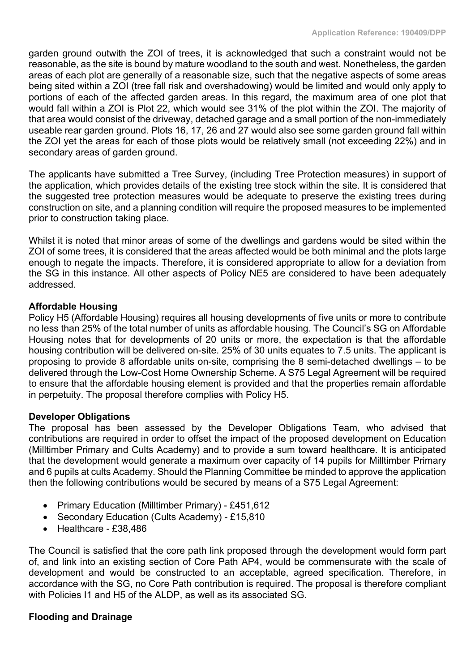garden ground outwith the ZOI of trees, it is acknowledged that such a constraint would not be reasonable, as the site is bound by mature woodland to the south and west. Nonetheless, the garden areas of each plot are generally of a reasonable size, such that the negative aspects of some areas being sited within a ZOI (tree fall risk and overshadowing) would be limited and would only apply to portions of each of the affected garden areas. In this regard, the maximum area of one plot that would fall within a ZOI is Plot 22, which would see 31% of the plot within the ZOI. The majority of that area would consist of the driveway, detached garage and a small portion of the non-immediately useable rear garden ground. Plots 16, 17, 26 and 27 would also see some garden ground fall within the ZOI yet the areas for each of those plots would be relatively small (not exceeding 22%) and in secondary areas of garden ground.

The applicants have submitted a Tree Survey, (including Tree Protection measures) in support of the application, which provides details of the existing tree stock within the site. It is considered that the suggested tree protection measures would be adequate to preserve the existing trees during construction on site, and a planning condition will require the proposed measures to be implemented prior to construction taking place.

Whilst it is noted that minor areas of some of the dwellings and gardens would be sited within the ZOI of some trees, it is considered that the areas affected would be both minimal and the plots large enough to negate the impacts. Therefore, it is considered appropriate to allow for a deviation from the SG in this instance. All other aspects of Policy NE5 are considered to have been adequately addressed.

## **Affordable Housing**

Policy H5 (Affordable Housing) requires all housing developments of five units or more to contribute no less than 25% of the total number of units as affordable housing. The Council's SG on Affordable Housing notes that for developments of 20 units or more, the expectation is that the affordable housing contribution will be delivered on-site. 25% of 30 units equates to 7.5 units. The applicant is proposing to provide 8 affordable units on-site, comprising the 8 semi-detached dwellings – to be delivered through the Low-Cost Home Ownership Scheme. A S75 Legal Agreement will be required to ensure that the affordable housing element is provided and that the properties remain affordable in perpetuity. The proposal therefore complies with Policy H5.

## **Developer Obligations**

The proposal has been assessed by the Developer Obligations Team, who advised that contributions are required in order to offset the impact of the proposed development on Education (Milltimber Primary and Cults Academy) and to provide a sum toward healthcare. It is anticipated that the development would generate a maximum over capacity of 14 pupils for Milltimber Primary and 6 pupils at cults Academy. Should the Planning Committee be minded to approve the application then the following contributions would be secured by means of a S75 Legal Agreement:

- Primary Education (Milltimber Primary) £451,612
- Secondary Education (Cults Academy) £15,810
- Healthcare £38,486

The Council is satisfied that the core path link proposed through the development would form part of, and link into an existing section of Core Path AP4, would be commensurate with the scale of development and would be constructed to an acceptable, agreed specification. Therefore, in accordance with the SG, no Core Path contribution is required. The proposal is therefore compliant with Policies I1 and H5 of the ALDP, as well as its associated SG.

## **Flooding and Drainage**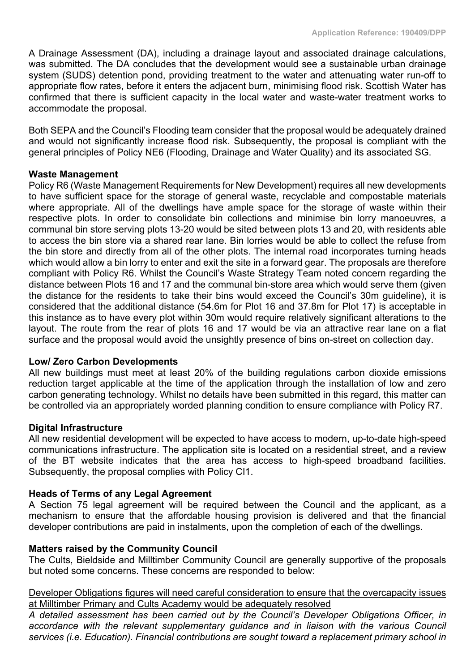A Drainage Assessment (DA), including a drainage layout and associated drainage calculations, was submitted. The DA concludes that the development would see a sustainable urban drainage system (SUDS) detention pond, providing treatment to the water and attenuating water run-off to appropriate flow rates, before it enters the adjacent burn, minimising flood risk. Scottish Water has confirmed that there is sufficient capacity in the local water and waste-water treatment works to accommodate the proposal.

Both SEPA and the Council's Flooding team consider that the proposal would be adequately drained and would not significantly increase flood risk. Subsequently, the proposal is compliant with the general principles of Policy NE6 (Flooding, Drainage and Water Quality) and its associated SG.

#### **Waste Management**

Policy R6 (Waste Management Requirements for New Development) requires all new developments to have sufficient space for the storage of general waste, recyclable and compostable materials where appropriate. All of the dwellings have ample space for the storage of waste within their respective plots. In order to consolidate bin collections and minimise bin lorry manoeuvres, a communal bin store serving plots 13-20 would be sited between plots 13 and 20, with residents able to access the bin store via a shared rear lane. Bin lorries would be able to collect the refuse from the bin store and directly from all of the other plots. The internal road incorporates turning heads which would allow a bin lorry to enter and exit the site in a forward gear. The proposals are therefore compliant with Policy R6. Whilst the Council's Waste Strategy Team noted concern regarding the distance between Plots 16 and 17 and the communal bin-store area which would serve them (given the distance for the residents to take their bins would exceed the Council's 30m guideline), it is considered that the additional distance (54.6m for Plot 16 and 37.8m for Plot 17) is acceptable in this instance as to have every plot within 30m would require relatively significant alterations to the layout. The route from the rear of plots 16 and 17 would be via an attractive rear lane on a flat surface and the proposal would avoid the unsightly presence of bins on-street on collection day.

#### **Low/ Zero Carbon Developments**

All new buildings must meet at least 20% of the building regulations carbon dioxide emissions reduction target applicable at the time of the application through the installation of low and zero carbon generating technology. Whilst no details have been submitted in this regard, this matter can be controlled via an appropriately worded planning condition to ensure compliance with Policy R7.

#### **Digital Infrastructure**

All new residential development will be expected to have access to modern, up-to-date high-speed communications infrastructure. The application site is located on a residential street, and a review of the BT website indicates that the area has access to high-speed broadband facilities. Subsequently, the proposal complies with Policy CI1.

#### **Heads of Terms of any Legal Agreement**

A Section 75 legal agreement will be required between the Council and the applicant, as a mechanism to ensure that the affordable housing provision is delivered and that the financial developer contributions are paid in instalments, upon the completion of each of the dwellings.

#### **Matters raised by the Community Council**

The Cults, Bieldside and Milltimber Community Council are generally supportive of the proposals but noted some concerns. These concerns are responded to below:

#### Developer Obligations figures will need careful consideration to ensure that the overcapacity issues at Milltimber Primary and Cults Academy would be adequately resolved

*A detailed assessment has been carried out by the Council's Developer Obligations Officer, in accordance with the relevant supplementary guidance and in liaison with the various Council services (i.e. Education). Financial contributions are sought toward a replacement primary school in*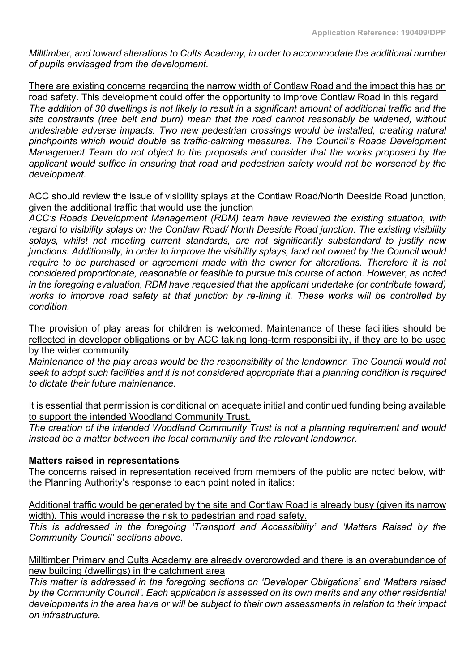*Milltimber, and toward alterations to Cults Academy, in order to accommodate the additional number of pupils envisaged from the development.*

There are existing concerns regarding the narrow width of Contlaw Road and the impact this has on road safety. This development could offer the opportunity to improve Contlaw Road in this regard The addition of 30 dwellings is not likely to result in a significant amount of additional traffic and the *site constraints (tree belt and burn) mean that the road cannot reasonably be widened, without undesirable adverse impacts. Two new pedestrian crossings would be installed, creating natural pinchpoints which would double as traffic-calming measures. The Council's Roads Development Management Team do not object to the proposals and consider that the works proposed by the applicant would suffice in ensuring that road and pedestrian safety would not be worsened by the development.* 

## ACC should review the issue of visibility splays at the Contlaw Road/North Deeside Road junction, given the additional traffic that would use the junction

*ACC's Roads Development Management (RDM) team have reviewed the existing situation, with regard to visibility splays on the Contlaw Road/ North Deeside Road junction. The existing visibility splays, whilst not meeting current standards, are not significantly substandard to justify new junctions. Additionally, in order to improve the visibility splays, land not owned by the Council would require to be purchased or agreement made with the owner for alterations. Therefore it is not considered proportionate, reasonable or feasible to pursue this course of action. However, as noted in the foregoing evaluation, RDM have requested that the applicant undertake (or contribute toward) works to improve road safety at that junction by re-lining it. These works will be controlled by condition.*

The provision of play areas for children is welcomed. Maintenance of these facilities should be reflected in developer obligations or by ACC taking long-term responsibility, if they are to be used by the wider community

*Maintenance of the play areas would be the responsibility of the landowner. The Council would not seek to adopt such facilities and it is not considered appropriate that a planning condition is required to dictate their future maintenance.*

It is essential that permission is conditional on adequate initial and continued funding being available to support the intended Woodland Community Trust.

*The creation of the intended Woodland Community Trust is not a planning requirement and would instead be a matter between the local community and the relevant landowner.*

## **Matters raised in representations**

The concerns raised in representation received from members of the public are noted below, with the Planning Authority's response to each point noted in italics:

Additional traffic would be generated by the site and Contlaw Road is already busy (given its narrow width). This would increase the risk to pedestrian and road safety.

*This is addressed in the foregoing 'Transport and Accessibility' and 'Matters Raised by the Community Council' sections above.*

Milltimber Primary and Cults Academy are already overcrowded and there is an overabundance of new building (dwellings) in the catchment area

*This matter is addressed in the foregoing sections on 'Developer Obligations' and 'Matters raised by the Community Council'. Each application is assessed on its own merits and any other residential* developments in the area have or will be subject to their own assessments in relation to their impact *on infrastructure.*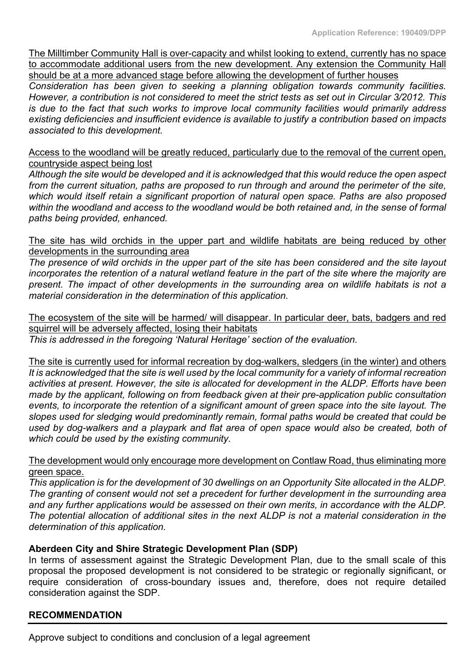The Milltimber Community Hall is over-capacity and whilst looking to extend, currently has no space to accommodate additional users from the new development. Any extension the Community Hall should be at a more advanced stage before allowing the development of further houses

*Consideration has been given to seeking a planning obligation towards community facilities.* However, a contribution is not considered to meet the strict tests as set out in Circular 3/2012. This *is due to the fact that such works to improve local community facilities would primarily address existing deficiencies and insufficient evidence is available to justify a contribution based on impacts associated to this development.*

Access to the woodland will be greatly reduced, particularly due to the removal of the current open, countryside aspect being lost

*Although the site would be developed and it is acknowledged that this would reduce the open aspect from the current situation, paths are proposed to run through and around the perimeter of the site, which would itself retain a significant proportion of natural open space. Paths are also proposed within the woodland and access to the woodland would be both retained and, in the sense of formal paths being provided, enhanced.*

The site has wild orchids in the upper part and wildlife habitats are being reduced by other developments in the surrounding area

The presence of wild orchids in the upper part of the site has been considered and the site layout incorporates the retention of a natural wetland feature in the part of the site where the majority are *present. The impact of other developments in the surrounding area on wildlife habitats is not a material consideration in the determination of this application.*

The ecosystem of the site will be harmed/ will disappear. In particular deer, bats, badgers and red squirrel will be adversely affected, losing their habitats

*This is addressed in the foregoing 'Natural Heritage' section of the evaluation.*

The site is currently used for informal recreation by dog-walkers, sledgers (in the winter) and others It is acknowledged that the site is well used by the local community for a variety of informal recreation *activities at present. However, the site is allocated for development in the ALDP. Efforts have been made by the applicant, following on from feedback given at their pre-application public consultation events, to incorporate the retention of a significant amount of green space into the site layout. The slopes used for sledging would predominantly remain, formal paths would be created that could be used by dog-walkers and a playpark and flat area of open space would also be created, both of which could be used by the existing community.*

The development would only encourage more development on Contlaw Road, thus eliminating more green space.

*This application is for the development of 30 dwellings on an Opportunity Site allocated in the ALDP. The granting of consent would not set a precedent for further development in the surrounding area and any further applications would be assessed on their own merits, in accordance with the ALDP. The potential allocation of additional sites in the next ALDP is not a material consideration in the determination of this application.* 

## **Aberdeen City and Shire Strategic Development Plan (SDP)**

In terms of assessment against the Strategic Development Plan, due to the small scale of this proposal the proposed development is not considered to be strategic or regionally significant, or require consideration of cross-boundary issues and, therefore, does not require detailed consideration against the SDP.

## **RECOMMENDATION**

Approve subject to conditions and conclusion of a legal agreement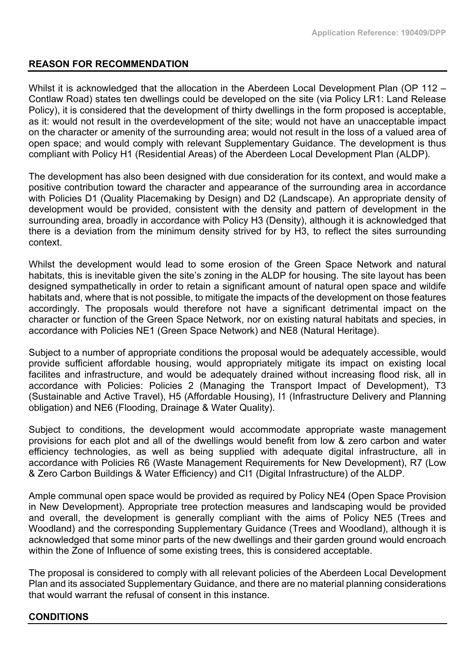## **REASON FOR RECOMMENDATION**

Whilst it is acknowledged that the allocation in the Aberdeen Local Development Plan (OP 112 – Contlaw Road) states ten dwellings could be developed on the site (via Policy LR1: Land Release Policy), it is considered that the development of thirty dwellings in the form proposed is acceptable, as it: would not result in the overdevelopment of the site; would not have an unacceptable impact on the character or amenity of the surrounding area; would not result in the loss of a valued area of open space; and would comply with relevant Supplementary Guidance. The development is thus compliant with Policy H1 (Residential Areas) of the Aberdeen Local Development Plan (ALDP).

The development has also been designed with due consideration for its context, and would make a positive contribution toward the character and appearance of the surrounding area in accordance with Policies D1 (Quality Placemaking by Design) and D2 (Landscape). An appropriate density of development would be provided, consistent with the density and pattern of development in the surrounding area, broadly in accordance with Policy H3 (Density), although it is acknowledged that there is a deviation from the minimum density strived for by H3, to reflect the sites surrounding context.

Whilst the development would lead to some erosion of the Green Space Network and natural habitats, this is inevitable given the site's zoning in the ALDP for housing. The site layout has been designed sympathetically in order to retain a significant amount of natural open space and wildife habitats and, where that is not possible, to mitigate the impacts of the development on those features accordingly. The proposals would therefore not have a significant detrimental impact on the character or function of the Green Space Network, nor on existing natural habitats and species, in accordance with Policies NE1 (Green Space Network) and NE8 (Natural Heritage).

Subject to a number of appropriate conditions the proposal would be adequately accessible, would provide sufficient affordable housing, would appropriately mitigate its impact on existing local facilites and infrastructure, and would be adequately drained without increasing flood risk, all in accordance with Policies: Policies 2 (Managing the Transport Impact of Development), T3 (Sustainable and Active Travel), H5 (Affordable Housing), I1 (Infrastructure Delivery and Planning obligation) and NE6 (Flooding, Drainage & Water Quality).

Subject to conditions, the development would accommodate appropriate waste management provisions for each plot and all of the dwellings would benefit from low & zero carbon and water efficiency technologies, as well as being supplied with adequate digital infrastructure, all in accordance with Policies R6 (Waste Management Requirements for New Development), R7 (Low & Zero Carbon Buildings & Water Efficiency) and CI1 (Digital Infrastructure) of the ALDP.

Ample communal open space would be provided as required by Policy NE4 (Open Space Provision in New Development). Appropriate tree protection measures and landscaping would be provided and overall, the development is generally compliant with the aims of Policy NE5 (Trees and Woodland) and the corresponding Supplementary Guidance (Trees and Woodland), although it is acknowledged that some minor parts of the new dwellings and their garden ground would encroach within the Zone of Influence of some existing trees, this is considered acceptable.

The proposal is considered to comply with all relevant policies of the Aberdeen Local Development Plan and its associated Supplementary Guidance, and there are no material planning considerations that would warrant the refusal of consent in this instance.

## **CONDITIONS**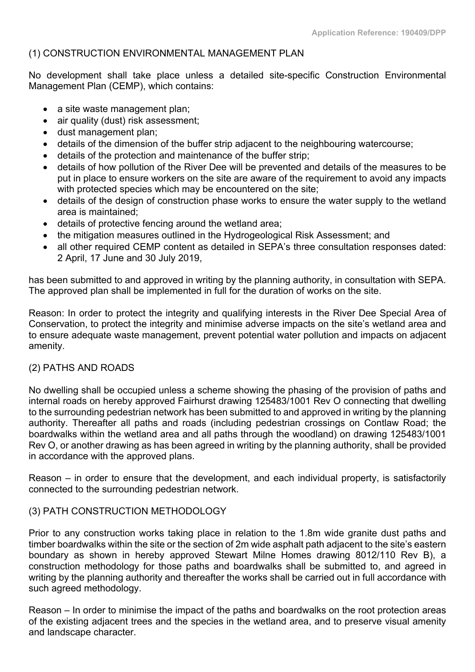## (1) CONSTRUCTION ENVIRONMENTAL MANAGEMENT PLAN

No development shall take place unless a detailed site-specific Construction Environmental Management Plan (CEMP), which contains:

- a site waste management plan;
- air quality (dust) risk assessment;
- dust management plan;
- details of the dimension of the buffer strip adjacent to the neighbouring watercourse;
- details of the protection and maintenance of the buffer strip;
- details of how pollution of the River Dee will be prevented and details of the measures to be put in place to ensure workers on the site are aware of the requirement to avoid any impacts with protected species which may be encountered on the site;
- details of the design of construction phase works to ensure the water supply to the wetland area is maintained;
- details of protective fencing around the wetland area;
- the mitigation measures outlined in the Hydrogeological Risk Assessment; and
- all other required CEMP content as detailed in SEPA's three consultation responses dated: 2 April, 17 June and 30 July 2019,

has been submitted to and approved in writing by the planning authority, in consultation with SEPA. The approved plan shall be implemented in full for the duration of works on the site.

Reason: In order to protect the integrity and qualifying interests in the River Dee Special Area of Conservation, to protect the integrity and minimise adverse impacts on the site's wetland area and to ensure adequate waste management, prevent potential water pollution and impacts on adjacent amenity.

## (2) PATHS AND ROADS

No dwelling shall be occupied unless a scheme showing the phasing of the provision of paths and internal roads on hereby approved Fairhurst drawing 125483/1001 Rev O connecting that dwelling to the surrounding pedestrian network has been submitted to and approved in writing by the planning authority. Thereafter all paths and roads (including pedestrian crossings on Contlaw Road; the boardwalks within the wetland area and all paths through the woodland) on drawing 125483/1001 Rev O, or another drawing as has been agreed in writing by the planning authority, shall be provided in accordance with the approved plans.

Reason – in order to ensure that the development, and each individual property, is satisfactorily connected to the surrounding pedestrian network.

## (3) PATH CONSTRUCTION METHODOLOGY

Prior to any construction works taking place in relation to the 1.8m wide granite dust paths and timber boardwalks within the site or the section of 2m wide asphalt path adjacent to the site's eastern boundary as shown in hereby approved Stewart Milne Homes drawing 8012/110 Rev B), a construction methodology for those paths and boardwalks shall be submitted to, and agreed in writing by the planning authority and thereafter the works shall be carried out in full accordance with such agreed methodology.

Reason – In order to minimise the impact of the paths and boardwalks on the root protection areas of the existing adjacent trees and the species in the wetland area, and to preserve visual amenity and landscape character.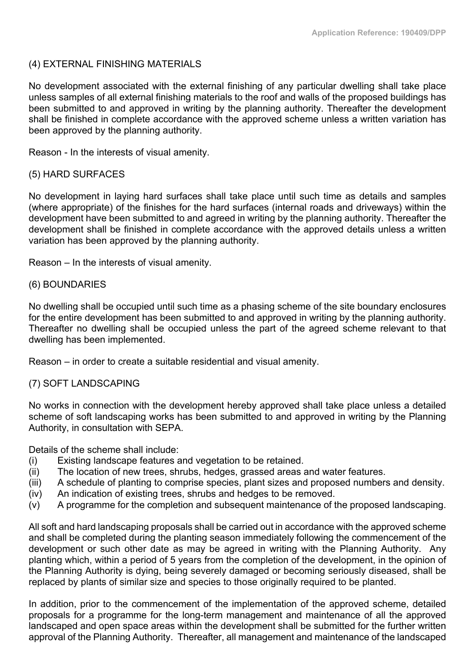## (4) EXTERNAL FINISHING MATERIALS

No development associated with the external finishing of any particular dwelling shall take place unless samples of all external finishing materials to the roof and walls of the proposed buildings has been submitted to and approved in writing by the planning authority. Thereafter the development shall be finished in complete accordance with the approved scheme unless a written variation has been approved by the planning authority.

Reason - In the interests of visual amenity.

#### (5) HARD SURFACES

No development in laying hard surfaces shall take place until such time as details and samples (where appropriate) of the finishes for the hard surfaces (internal roads and driveways) within the development have been submitted to and agreed in writing by the planning authority. Thereafter the development shall be finished in complete accordance with the approved details unless a written variation has been approved by the planning authority.

Reason – In the interests of visual amenity.

#### (6) BOUNDARIES

No dwelling shall be occupied until such time as a phasing scheme of the site boundary enclosures for the entire development has been submitted to and approved in writing by the planning authority. Thereafter no dwelling shall be occupied unless the part of the agreed scheme relevant to that dwelling has been implemented.

Reason – in order to create a suitable residential and visual amenity.

## (7) SOFT LANDSCAPING

No works in connection with the development hereby approved shall take place unless a detailed scheme of soft landscaping works has been submitted to and approved in writing by the Planning Authority, in consultation with SEPA.

Details of the scheme shall include:

- (i) Existing landscape features and vegetation to be retained.
- (ii) The location of new trees, shrubs, hedges, grassed areas and water features.
- (iii) A schedule of planting to comprise species, plant sizes and proposed numbers and density.
- (iv) An indication of existing trees, shrubs and hedges to be removed.
- (v) A programme for the completion and subsequent maintenance of the proposed landscaping.

All soft and hard landscaping proposals shall be carried out in accordance with the approved scheme and shall be completed during the planting season immediately following the commencement of the development or such other date as may be agreed in writing with the Planning Authority. Any planting which, within a period of 5 years from the completion of the development, in the opinion of the Planning Authority is dying, being severely damaged or becoming seriously diseased, shall be replaced by plants of similar size and species to those originally required to be planted.

In addition, prior to the commencement of the implementation of the approved scheme, detailed proposals for a programme for the long-term management and maintenance of all the approved landscaped and open space areas within the development shall be submitted for the further written approval of the Planning Authority. Thereafter, all management and maintenance of the landscaped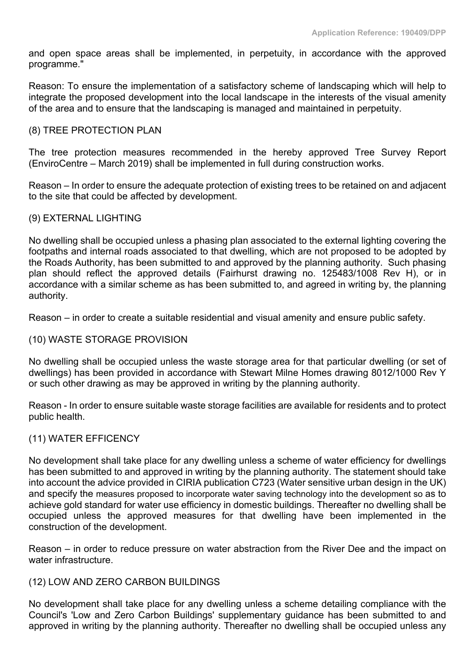and open space areas shall be implemented, in perpetuity, in accordance with the approved programme."

Reason: To ensure the implementation of a satisfactory scheme of landscaping which will help to integrate the proposed development into the local landscape in the interests of the visual amenity of the area and to ensure that the landscaping is managed and maintained in perpetuity.

#### (8) TREE PROTECTION PLAN

The tree protection measures recommended in the hereby approved Tree Survey Report (EnviroCentre – March 2019) shall be implemented in full during construction works.

Reason – In order to ensure the adequate protection of existing trees to be retained on and adjacent to the site that could be affected by development.

## (9) EXTERNAL LIGHTING

No dwelling shall be occupied unless a phasing plan associated to the external lighting covering the footpaths and internal roads associated to that dwelling, which are not proposed to be adopted by the Roads Authority, has been submitted to and approved by the planning authority. Such phasing plan should reflect the approved details (Fairhurst drawing no. 125483/1008 Rev H), or in accordance with a similar scheme as has been submitted to, and agreed in writing by, the planning authority.

Reason – in order to create a suitable residential and visual amenity and ensure public safety.

#### (10) WASTE STORAGE PROVISION

No dwelling shall be occupied unless the waste storage area for that particular dwelling (or set of dwellings) has been provided in accordance with Stewart Milne Homes drawing 8012/1000 Rev Y or such other drawing as may be approved in writing by the planning authority.

Reason - In order to ensure suitable waste storage facilities are available for residents and to protect public health.

#### (11) WATER EFFICENCY

No development shall take place for any dwelling unless a scheme of water efficiency for dwellings has been submitted to and approved in writing by the planning authority. The statement should take into account the advice provided in CIRIA publication C723 (Water sensitive urban design in the UK) and specify the measures proposed to incorporate water saving technology into the development so as to achieve gold standard for water use efficiency in domestic buildings. Thereafter no dwelling shall be occupied unless the approved measures for that dwelling have been implemented in the construction of the development.

Reason – in order to reduce pressure on water abstraction from the River Dee and the impact on water infrastructure.

#### (12) LOW AND ZERO CARBON BUILDINGS

No development shall take place for any dwelling unless a scheme detailing compliance with the Council's 'Low and Zero Carbon Buildings' supplementary guidance has been submitted to and approved in writing by the planning authority. Thereafter no dwelling shall be occupied unless any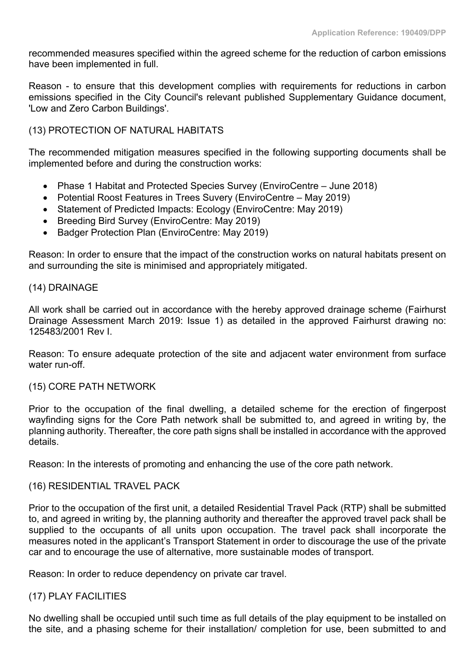recommended measures specified within the agreed scheme for the reduction of carbon emissions have been implemented in full.

Reason - to ensure that this development complies with requirements for reductions in carbon emissions specified in the City Council's relevant published Supplementary Guidance document, 'Low and Zero Carbon Buildings'.

## (13) PROTECTION OF NATURAL HABITATS

The recommended mitigation measures specified in the following supporting documents shall be implemented before and during the construction works:

- Phase 1 Habitat and Protected Species Survey (EnviroCentre June 2018)
- Potential Roost Features in Trees Suvery (EnviroCentre May 2019)
- Statement of Predicted Impacts: Ecology (EnviroCentre: May 2019)
- Breeding Bird Survey (EnviroCentre: May 2019)
- Badger Protection Plan (EnviroCentre: May 2019)

Reason: In order to ensure that the impact of the construction works on natural habitats present on and surrounding the site is minimised and appropriately mitigated.

#### (14) DRAINAGE

All work shall be carried out in accordance with the hereby approved drainage scheme (Fairhurst Drainage Assessment March 2019: Issue 1) as detailed in the approved Fairhurst drawing no: 125483/2001 Rev I.

Reason: To ensure adequate protection of the site and adjacent water environment from surface water run-off

## (15) CORE PATH NETWORK

Prior to the occupation of the final dwelling, a detailed scheme for the erection of fingerpost wayfinding signs for the Core Path network shall be submitted to, and agreed in writing by, the planning authority. Thereafter, the core path signs shall be installed in accordance with the approved details.

Reason: In the interests of promoting and enhancing the use of the core path network.

## (16) RESIDENTIAL TRAVEL PACK

Prior to the occupation of the first unit, a detailed Residential Travel Pack (RTP) shall be submitted to, and agreed in writing by, the planning authority and thereafter the approved travel pack shall be supplied to the occupants of all units upon occupation. The travel pack shall incorporate the measures noted in the applicant's Transport Statement in order to discourage the use of the private car and to encourage the use of alternative, more sustainable modes of transport.

Reason: In order to reduce dependency on private car travel.

## (17) PLAY FACILITIES

No dwelling shall be occupied until such time as full details of the play equipment to be installed on the site, and a phasing scheme for their installation/ completion for use, been submitted to and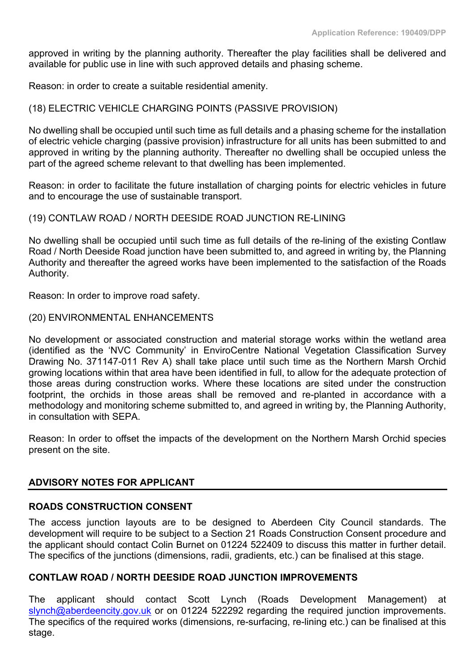approved in writing by the planning authority. Thereafter the play facilities shall be delivered and available for public use in line with such approved details and phasing scheme.

Reason: in order to create a suitable residential amenity.

## (18) ELECTRIC VEHICLE CHARGING POINTS (PASSIVE PROVISION)

No dwelling shall be occupied until such time as full details and a phasing scheme for the installation of electric vehicle charging (passive provision) infrastructure for all units has been submitted to and approved in writing by the planning authority. Thereafter no dwelling shall be occupied unless the part of the agreed scheme relevant to that dwelling has been implemented.

Reason: in order to facilitate the future installation of charging points for electric vehicles in future and to encourage the use of sustainable transport.

#### (19) CONTLAW ROAD / NORTH DEESIDE ROAD JUNCTION RE-LINING

No dwelling shall be occupied until such time as full details of the re-lining of the existing Contlaw Road / North Deeside Road junction have been submitted to, and agreed in writing by, the Planning Authority and thereafter the agreed works have been implemented to the satisfaction of the Roads Authority.

Reason: In order to improve road safety.

#### (20) ENVIRONMENTAL ENHANCEMENTS

No development or associated construction and material storage works within the wetland area (identified as the 'NVC Community' in EnviroCentre National Vegetation Classification Survey Drawing No. 371147-011 Rev A) shall take place until such time as the Northern Marsh Orchid growing locations within that area have been identified in full, to allow for the adequate protection of those areas during construction works. Where these locations are sited under the construction footprint, the orchids in those areas shall be removed and re-planted in accordance with a methodology and monitoring scheme submitted to, and agreed in writing by, the Planning Authority, in consultation with SEPA.

Reason: In order to offset the impacts of the development on the Northern Marsh Orchid species present on the site.

#### **ADVISORY NOTES FOR APPLICANT**

## **ROADS CONSTRUCTION CONSENT**

The access junction layouts are to be designed to Aberdeen City Council standards. The development will require to be subject to a Section 21 Roads Construction Consent procedure and the applicant should contact Colin Burnet on 01224 522409 to discuss this matter in further detail. The specifics of the junctions (dimensions, radii, gradients, etc.) can be finalised at this stage.

#### **CONTLAW ROAD / NORTH DEESIDE ROAD JUNCTION IMPROVEMENTS**

The applicant should contact Scott Lynch (Roads Development Management) at [slynch@aberdeencity.gov.uk](mailto:slynch@aberdeencity.gov.uk) or on 01224 522292 regarding the required junction improvements. The specifics of the required works (dimensions, re-surfacing, re-lining etc.) can be finalised at this stage.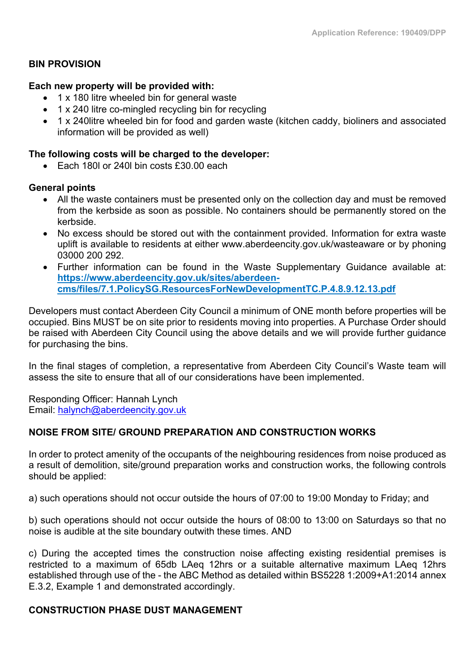## **BIN PROVISION**

#### **Each new property will be provided with:**

- 1 x 180 litre wheeled bin for general waste
- 1 x 240 litre co-mingled recycling bin for recycling
- 1 x 240litre wheeled bin for food and garden waste (kitchen caddy, bioliners and associated information will be provided as well)

#### **The following costs will be charged to the developer:**

 $\epsilon$  Fach 180 or 240 bin costs  $£30,00$  each

#### **General points**

- All the waste containers must be presented only on the collection day and must be removed from the kerbside as soon as possible. No containers should be permanently stored on the kerbside.
- No excess should be stored out with the containment provided. Information for extra waste uplift is available to residents at either www.aberdeencity.gov.uk/wasteaware or by phoning 03000 200 292.
- Further information can be found in the Waste Supplementary Guidance available at: **[https://www.aberdeencity.gov.uk/sites/aberdeen](https://www.aberdeencity.gov.uk/sites/aberdeen-cms/files/7.1.PolicySG.ResourcesForNewDevelopmentTC.P.4.8.9.12.13.pdf)[cms/files/7.1.PolicySG.ResourcesForNewDevelopmentTC.P.4.8.9.12.13.pdf](https://www.aberdeencity.gov.uk/sites/aberdeen-cms/files/7.1.PolicySG.ResourcesForNewDevelopmentTC.P.4.8.9.12.13.pdf)**

Developers must contact Aberdeen City Council a minimum of ONE month before properties will be occupied. Bins MUST be on site prior to residents moving into properties. A Purchase Order should be raised with Aberdeen City Council using the above details and we will provide further guidance for purchasing the bins.

In the final stages of completion, a representative from Aberdeen City Council's Waste team will assess the site to ensure that all of our considerations have been implemented.

Responding Officer: Hannah Lynch Email: [halynch@aberdeencity.gov.uk](mailto:halynch@aberdeencity.gov.uk)

## **NOISE FROM SITE/ GROUND PREPARATION AND CONSTRUCTION WORKS**

In order to protect amenity of the occupants of the neighbouring residences from noise produced as a result of demolition, site/ground preparation works and construction works, the following controls should be applied:

a) such operations should not occur outside the hours of 07:00 to 19:00 Monday to Friday; and

b) such operations should not occur outside the hours of 08:00 to 13:00 on Saturdays so that no noise is audible at the site boundary outwith these times. AND

c) During the accepted times the construction noise affecting existing residential premises is restricted to a maximum of 65db LAeq 12hrs or a suitable alternative maximum LAeq 12hrs established through use of the - the ABC Method as detailed within BS5228 1:2009+A1:2014 annex E.3.2, Example 1 and demonstrated accordingly.

## **CONSTRUCTION PHASE DUST MANAGEMENT**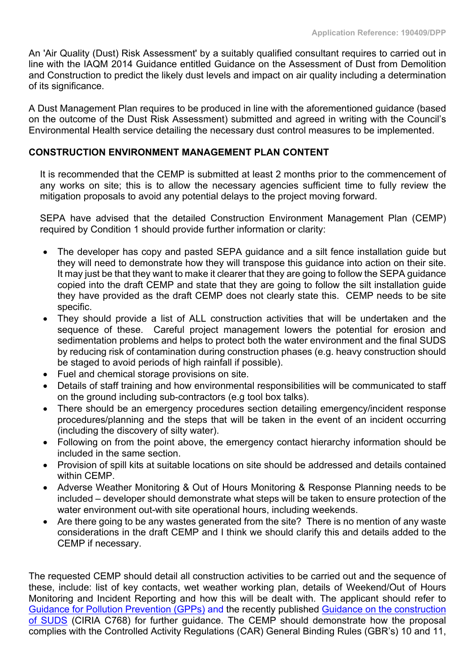An 'Air Quality (Dust) Risk Assessment' by a suitably qualified consultant requires to carried out in line with the IAQM 2014 Guidance entitled Guidance on the Assessment of Dust from Demolition and Construction to predict the likely dust levels and impact on air quality including a determination of its significance.

A Dust Management Plan requires to be produced in line with the aforementioned guidance (based on the outcome of the Dust Risk Assessment) submitted and agreed in writing with the Council's Environmental Health service detailing the necessary dust control measures to be implemented.

## **CONSTRUCTION ENVIRONMENT MANAGEMENT PLAN CONTENT**

It is recommended that the CEMP is submitted at least 2 months prior to the commencement of any works on site; this is to allow the necessary agencies sufficient time to fully review the mitigation proposals to avoid any potential delays to the project moving forward.

SEPA have advised that the detailed Construction Environment Management Plan (CEMP) required by Condition 1 should provide further information or clarity:

- The developer has copy and pasted SEPA guidance and a silt fence installation guide but they will need to demonstrate how they will transpose this guidance into action on their site. It may just be that they want to make it clearer that they are going to follow the SEPA guidance copied into the draft CEMP and state that they are going to follow the silt installation guide they have provided as the draft CEMP does not clearly state this. CEMP needs to be site specific.
- They should provide a list of ALL construction activities that will be undertaken and the sequence of these. Careful project management lowers the potential for erosion and sedimentation problems and helps to protect both the water environment and the final SUDS by reducing risk of contamination during construction phases (e.g. heavy construction should be staged to avoid periods of high rainfall if possible).
- Fuel and chemical storage provisions on site.
- Details of staff training and how environmental responsibilities will be communicated to staff on the ground including sub-contractors (e.g tool box talks).
- There should be an emergency procedures section detailing emergency/incident response procedures/planning and the steps that will be taken in the event of an incident occurring (including the discovery of silty water).
- Following on from the point above, the emergency contact hierarchy information should be included in the same section.
- Provision of spill kits at suitable locations on site should be addressed and details contained within CEMP.
- Adverse Weather Monitoring & Out of Hours Monitoring & Response Planning needs to be included – developer should demonstrate what steps will be taken to ensure protection of the water environment out-with site operational hours, including weekends.
- Are there going to be any wastes generated from the site? There is no mention of any waste considerations in the draft CEMP and I think we should clarify this and details added to the CEMP if necessary.

The requested CEMP should detail all construction activities to be carried out and the sequence of these, include: list of key contacts, wet weather working plan, details of Weekend/Out of Hours Monitoring and Incident Reporting and how this will be dealt with. The applicant should refer to Guidance for Pollution [Prevention](http://www.netregs.org.uk/environmental-topics/pollution-prevention-guidelines-ppgs-and-replacement-series/guidance-for-pollution-prevention-gpps-full-list/) (GPPs) and the recently published Guidance on the [construction](https://www.ciria.org/Resources/Free_publications/Guidance_on_the_construction_of_SuDS_-_C768.aspx) of [SUDS](https://www.ciria.org/Resources/Free_publications/Guidance_on_the_construction_of_SuDS_-_C768.aspx) (CIRIA C768) for further guidance. The CEMP should demonstrate how the proposal complies with the Controlled Activity Regulations (CAR) General Binding Rules (GBR's) 10 and 11,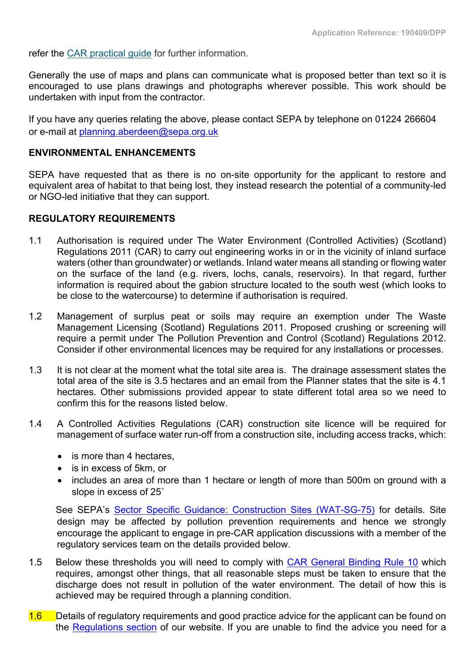refer the CAR [practical](https://www.sepa.org.uk/media/34761/car-practical-guide-v8-final.pdf) guide for further information.

Generally the use of maps and plans can communicate what is proposed better than text so it is encouraged to use plans drawings and photographs wherever possible. This work should be undertaken with input from the contractor.

If you have any queries relating the above, please contact SEPA by telephone on 01224 266604 or e-mail at [planning.aberdeen@sepa.org.uk](mailto:planning.aberdeen@sepa.org.uk)

## **ENVIRONMENTAL ENHANCEMENTS**

SEPA have requested that as there is no on-site opportunity for the applicant to restore and equivalent area of habitat to that being lost, they instead research the potential of a community-led or NGO-led initiative that they can support.

#### **REGULATORY REQUIREMENTS**

- 1.1 Authorisation is required under The Water Environment (Controlled Activities) (Scotland) Regulations 2011 (CAR) to carry out engineering works in or in the vicinity of inland surface waters (other than groundwater) or wetlands. Inland water means all standing or flowing water on the surface of the land (e.g. rivers, lochs, canals, reservoirs). In that regard, further information is required about the gabion structure located to the south west (which looks to be close to the watercourse) to determine if authorisation is required.
- 1.2 Management of surplus peat or soils may require an exemption under The Waste Management Licensing (Scotland) Regulations 2011. Proposed crushing or screening will require a permit under The Pollution Prevention and Control (Scotland) Regulations 2012. Consider if other environmental licences may be required for any installations or processes.
- 1.3 It is not clear at the moment what the total site area is. The drainage assessment states the total area of the site is 3.5 hectares and an email from the Planner states that the site is 4.1 hectares. Other submissions provided appear to state different total area so we need to confirm this for the reasons listed below.
- 1.4 A Controlled Activities Regulations (CAR) construction site licence will be required for management of surface water run-off from a construction site, including access tracks, which:
	- is more than 4 hectares.
	- is in excess of 5km, or
	- includes an area of more than 1 hectare or length of more than 500m on ground with a slope in excess of 25˚

See SEPA's Sector Specific Guidance: Construction Sites [\(WAT-SG-75\)](https://www.sepa.org.uk/media/340359/wat-sg-75.pdf) for details. Site design may be affected by pollution prevention requirements and hence we strongly encourage the applicant to engage in pre-CAR application discussions with a member of the regulatory services team on the details provided below.

- 1.5 Below these thresholds you will need to comply with CAR [General](https://www.sepa.org.uk/media/34761/car-practical-guide-v8-final.pdf) Binding Rule 10 which requires, amongst other things, that all reasonable steps must be taken to ensure that the discharge does not result in pollution of the water environment. The detail of how this is achieved may be required through a planning condition.
- 1.6 Details of regulatory requirements and good practice advice for the applicant can be found on the [Regulations](http://www.sepa.org.uk/regulations/) section of our website. If you are unable to find the advice you need for a